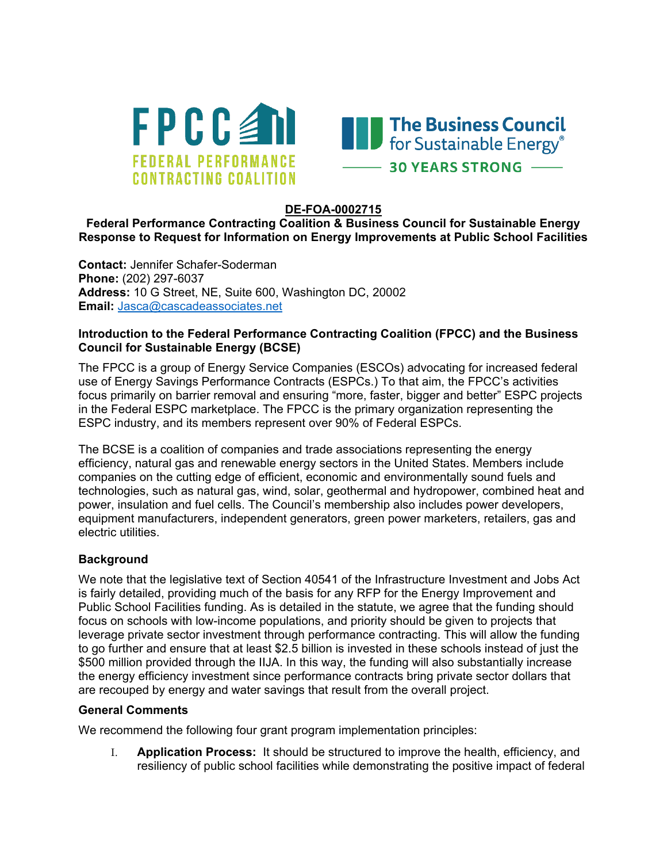



#### **DE-FOA-0002715**

## **Federal Performance Contracting Coalition & Business Council for Sustainable Energy Response to Request for Information on Energy Improvements at Public School Facilities**

**Contact:** Jennifer Schafer-Soderman **Phone:** (202) 297-6037 **Address:** 10 G Street, NE, Suite 600, Washington DC, 20002 **Email:** [Jasca@cascadeassociates.net](mailto:Jasca@cascadeassociates.net)

## **Introduction to the Federal Performance Contracting Coalition (FPCC) and the Business Council for Sustainable Energy (BCSE)**

The FPCC is a group of Energy Service Companies (ESCOs) advocating for increased federal use of Energy Savings Performance Contracts (ESPCs.) To that aim, the FPCC's activities focus primarily on barrier removal and ensuring "more, faster, bigger and better" ESPC projects in the Federal ESPC marketplace. The FPCC is the primary organization representing the ESPC industry, and its members represent over 90% of Federal ESPCs.

The BCSE is a coalition of companies and trade associations representing the energy efficiency, natural gas and renewable energy sectors in the United States. Members include companies on the cutting edge of efficient, economic and environmentally sound fuels and technologies, such as natural gas, wind, solar, geothermal and hydropower, combined heat and power, insulation and fuel cells. The Council's membership also includes power developers, equipment manufacturers, independent generators, green power marketers, retailers, gas and electric utilities.

# **Background**

We note that the legislative text of Section 40541 of the Infrastructure Investment and Jobs Act is fairly detailed, providing much of the basis for any RFP for the Energy Improvement and Public School Facilities funding. As is detailed in the statute, we agree that the funding should focus on schools with low-income populations, and priority should be given to projects that leverage private sector investment through performance contracting. This will allow the funding to go further and ensure that at least \$2.5 billion is invested in these schools instead of just the \$500 million provided through the IIJA. In this way, the funding will also substantially increase the energy efficiency investment since performance contracts bring private sector dollars that are recouped by energy and water savings that result from the overall project.

#### **General Comments**

We recommend the following four grant program implementation principles:

I. **Application Process:** It should be structured to improve the health, efficiency, and resiliency of public school facilities while demonstrating the positive impact of federal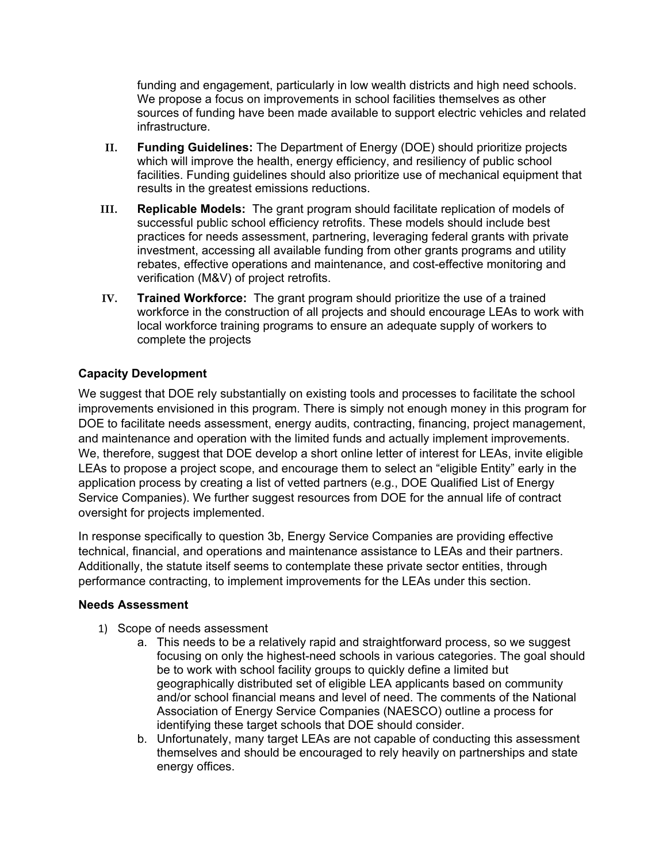funding and engagement, particularly in low wealth districts and high need schools. We propose a focus on improvements in school facilities themselves as other sources of funding have been made available to support electric vehicles and related infrastructure.

- **II. Funding Guidelines:** The Department of Energy (DOE) should prioritize projects which will improve the health, energy efficiency, and resiliency of public school facilities. Funding guidelines should also prioritize use of mechanical equipment that results in the greatest emissions reductions.
- **III. Replicable Models:** The grant program should facilitate replication of models of successful public school efficiency retrofits. These models should include best practices for needs assessment, partnering, leveraging federal grants with private investment, accessing all available funding from other grants programs and utility rebates, effective operations and maintenance, and cost-effective monitoring and verification (M&V) of project retrofits.
- **IV. Trained Workforce:** The grant program should prioritize the use of a trained workforce in the construction of all projects and should encourage LEAs to work with local workforce training programs to ensure an adequate supply of workers to complete the projects

# **Capacity Development**

We suggest that DOE rely substantially on existing tools and processes to facilitate the school improvements envisioned in this program. There is simply not enough money in this program for DOE to facilitate needs assessment, energy audits, contracting, financing, project management, and maintenance and operation with the limited funds and actually implement improvements. We, therefore, suggest that DOE develop a short online letter of interest for LEAs, invite eligible LEAs to propose a project scope, and encourage them to select an "eligible Entity" early in the application process by creating a list of vetted partners (e.g., DOE Qualified List of Energy Service Companies). We further suggest resources from DOE for the annual life of contract oversight for projects implemented.

In response specifically to question 3b, Energy Service Companies are providing effective technical, financial, and operations and maintenance assistance to LEAs and their partners. Additionally, the statute itself seems to contemplate these private sector entities, through performance contracting, to implement improvements for the LEAs under this section.

# **Needs Assessment**

- 1) Scope of needs assessment
	- a. This needs to be a relatively rapid and straightforward process, so we suggest focusing on only the highest-need schools in various categories. The goal should be to work with school facility groups to quickly define a limited but geographically distributed set of eligible LEA applicants based on community and/or school financial means and level of need. The comments of the National Association of Energy Service Companies (NAESCO) outline a process for identifying these target schools that DOE should consider.
	- b. Unfortunately, many target LEAs are not capable of conducting this assessment themselves and should be encouraged to rely heavily on partnerships and state energy offices.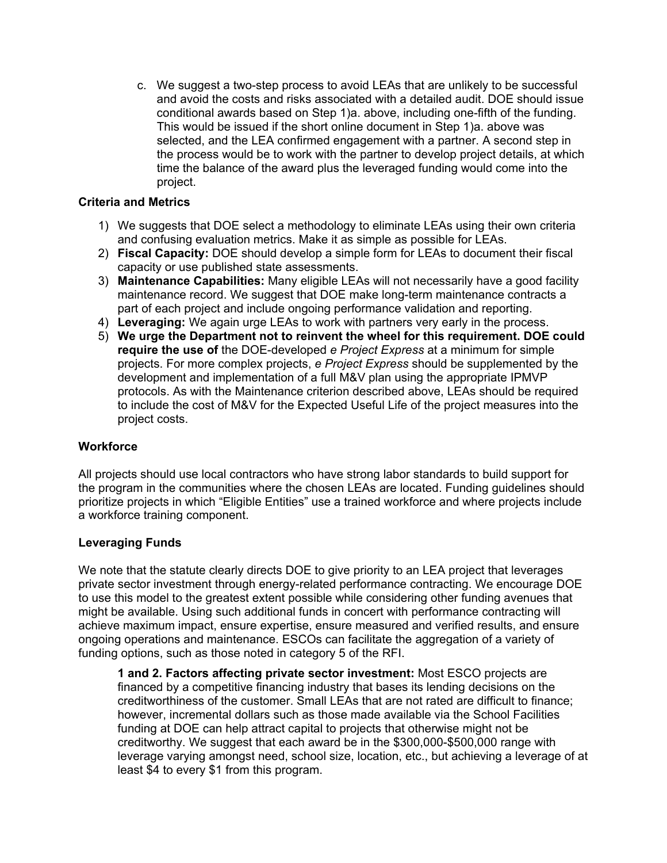c. We suggest a two-step process to avoid LEAs that are unlikely to be successful and avoid the costs and risks associated with a detailed audit. DOE should issue conditional awards based on Step 1)a. above, including one-fifth of the funding. This would be issued if the short online document in Step 1)a. above was selected, and the LEA confirmed engagement with a partner. A second step in the process would be to work with the partner to develop project details, at which time the balance of the award plus the leveraged funding would come into the project.

# **Criteria and Metrics**

- 1) We suggests that DOE select a methodology to eliminate LEAs using their own criteria and confusing evaluation metrics. Make it as simple as possible for LEAs.
- 2) **Fiscal Capacity:** DOE should develop a simple form for LEAs to document their fiscal capacity or use published state assessments.
- 3) **Maintenance Capabilities:** Many eligible LEAs will not necessarily have a good facility maintenance record. We suggest that DOE make long-term maintenance contracts a part of each project and include ongoing performance validation and reporting.
- 4) **Leveraging:** We again urge LEAs to work with partners very early in the process.
- 5) **We urge the Department not to reinvent the wheel for this requirement. DOE could require the use of** the DOE-developed *e Project Express* at a minimum for simple projects. For more complex projects, *e Project Express* should be supplemented by the development and implementation of a full M&V plan using the appropriate IPMVP protocols. As with the Maintenance criterion described above, LEAs should be required to include the cost of M&V for the Expected Useful Life of the project measures into the project costs.

# **Workforce**

All projects should use local contractors who have strong labor standards to build support for the program in the communities where the chosen LEAs are located. Funding guidelines should prioritize projects in which "Eligible Entities" use a trained workforce and where projects include a workforce training component.

# **Leveraging Funds**

We note that the statute clearly directs DOE to give priority to an LEA project that leverages private sector investment through energy-related performance contracting. We encourage DOE to use this model to the greatest extent possible while considering other funding avenues that might be available. Using such additional funds in concert with performance contracting will achieve maximum impact, ensure expertise, ensure measured and verified results, and ensure ongoing operations and maintenance. ESCOs can facilitate the aggregation of a variety of funding options, such as those noted in category 5 of the RFI.

**1 and 2. Factors affecting private sector investment:** Most ESCO projects are financed by a competitive financing industry that bases its lending decisions on the creditworthiness of the customer. Small LEAs that are not rated are difficult to finance; however, incremental dollars such as those made available via the School Facilities funding at DOE can help attract capital to projects that otherwise might not be creditworthy. We suggest that each award be in the \$300,000-\$500,000 range with leverage varying amongst need, school size, location, etc., but achieving a leverage of at least \$4 to every \$1 from this program.